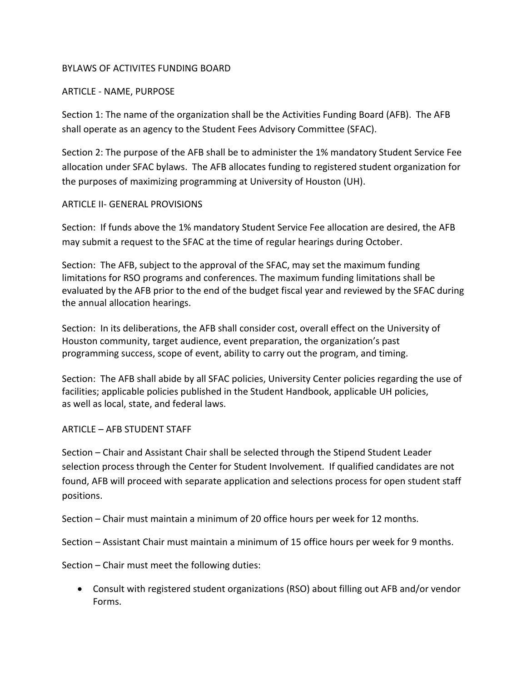## BYLAWS OF ACTIVITES FUNDING BOARD

## ARTICLE ‐ NAME, PURPOSE

Section 1: The name of the organization shall be the Activities Funding Board (AFB). The AFB shall operate as an agency to the Student Fees Advisory Committee (SFAC).

Section 2: The purpose of the AFB shall be to administer the 1% mandatory Student Service Fee allocation under SFAC bylaws. The AFB allocates funding to registered student organization for the purposes of maximizing programming at University of Houston (UH).

## ARTICLE II‐ GENERAL PROVISIONS

Section: If funds above the 1% mandatory Student Service Fee allocation are desired, the AFB may submit a request to the SFAC at the time of regular hearings during October.

Section: The AFB, subject to the approval of the SFAC, may set the maximum funding limitations for RSO programs and conferences. The maximum funding limitations shall be evaluated by the AFB prior to the end of the budget fiscal year and reviewed by the SFAC during the annual allocation hearings.

Section: In its deliberations, the AFB shall consider cost, overall effect on the University of Houston community, target audience, event preparation, the organization's past programming success, scope of event, ability to carry out the program, and timing.

Section: The AFB shall abide by all SFAC policies, University Center policies regarding the use of facilities; applicable policies published in the Student Handbook, applicable UH policies, as well as local, state, and federal laws.

## ARTICLE – AFB STUDENT STAFF

Section – Chair and Assistant Chair shall be selected through the Stipend Student Leader selection process through the Center for Student Involvement. If qualified candidates are not found, AFB will proceed with separate application and selections process for open student staff positions.

Section – Chair must maintain a minimum of 20 office hours per week for 12 months.

Section – Assistant Chair must maintain a minimum of 15 office hours per week for 9 months.

Section – Chair must meet the following duties:

 Consult with registered student organizations (RSO) about filling out AFB and/or vendor Forms.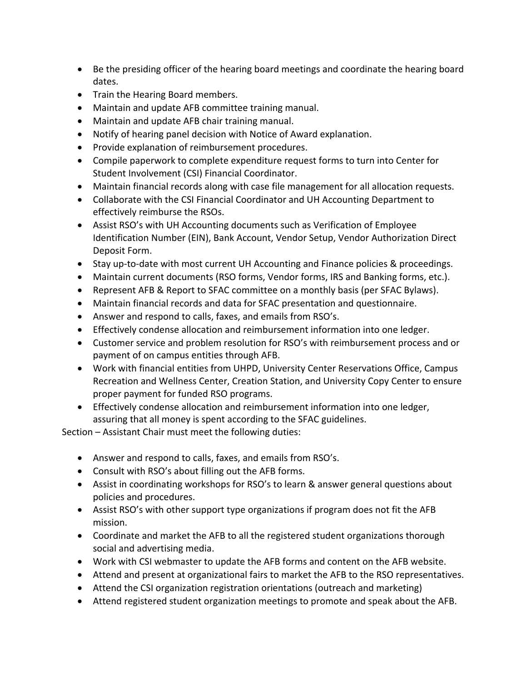- Be the presiding officer of the hearing board meetings and coordinate the hearing board dates.
- Train the Hearing Board members.
- Maintain and update AFB committee training manual.
- Maintain and update AFB chair training manual.
- Notify of hearing panel decision with Notice of Award explanation.
- Provide explanation of reimbursement procedures.
- Compile paperwork to complete expenditure request forms to turn into Center for Student Involvement (CSI) Financial Coordinator.
- Maintain financial records along with case file management for all allocation requests.
- Collaborate with the CSI Financial Coordinator and UH Accounting Department to effectively reimburse the RSOs.
- Assist RSO's with UH Accounting documents such as Verification of Employee Identification Number (EIN), Bank Account, Vendor Setup, Vendor Authorization Direct Deposit Form.
- Stay up-to-date with most current UH Accounting and Finance policies & proceedings.
- Maintain current documents (RSO forms, Vendor forms, IRS and Banking forms, etc.).
- Represent AFB & Report to SFAC committee on a monthly basis (per SFAC Bylaws).
- Maintain financial records and data for SFAC presentation and questionnaire.
- Answer and respond to calls, faxes, and emails from RSO's.
- Effectively condense allocation and reimbursement information into one ledger.
- Customer service and problem resolution for RSO's with reimbursement process and or payment of on campus entities through AFB.
- Work with financial entities from UHPD, University Center Reservations Office, Campus Recreation and Wellness Center, Creation Station, and University Copy Center to ensure proper payment for funded RSO programs.
- Effectively condense allocation and reimbursement information into one ledger, assuring that all money is spent according to the SFAC guidelines.

Section – Assistant Chair must meet the following duties:

- Answer and respond to calls, faxes, and emails from RSO's.
- Consult with RSO's about filling out the AFB forms.
- Assist in coordinating workshops for RSO's to learn & answer general questions about policies and procedures.
- Assist RSO's with other support type organizations if program does not fit the AFB mission.
- Coordinate and market the AFB to all the registered student organizations thorough social and advertising media.
- Work with CSI webmaster to update the AFB forms and content on the AFB website.
- Attend and present at organizational fairs to market the AFB to the RSO representatives.
- Attend the CSI organization registration orientations (outreach and marketing)
- Attend registered student organization meetings to promote and speak about the AFB.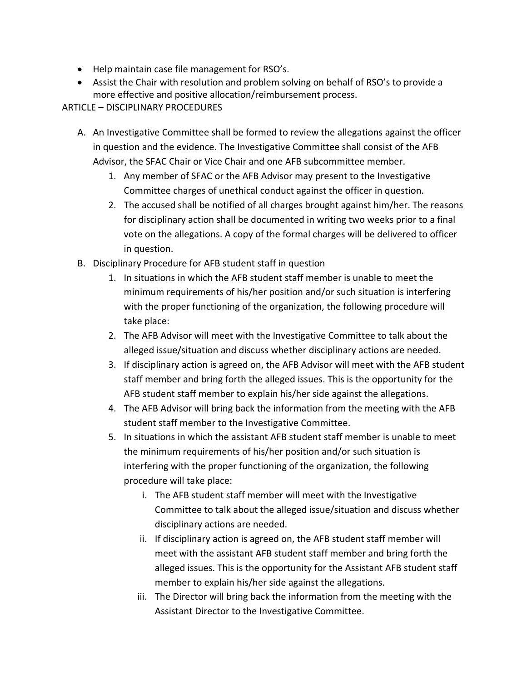- Help maintain case file management for RSO's.
- Assist the Chair with resolution and problem solving on behalf of RSO's to provide a more effective and positive allocation/reimbursement process.

## ARTICLE – DISCIPLINARY PROCEDURES

- A. An Investigative Committee shall be formed to review the allegations against the officer in question and the evidence. The Investigative Committee shall consist of the AFB Advisor, the SFAC Chair or Vice Chair and one AFB subcommittee member.
	- 1. Any member of SFAC or the AFB Advisor may present to the Investigative Committee charges of unethical conduct against the officer in question.
	- 2. The accused shall be notified of all charges brought against him/her. The reasons for disciplinary action shall be documented in writing two weeks prior to a final vote on the allegations. A copy of the formal charges will be delivered to officer in question.
- B. Disciplinary Procedure for AFB student staff in question
	- 1. In situations in which the AFB student staff member is unable to meet the minimum requirements of his/her position and/or such situation is interfering with the proper functioning of the organization, the following procedure will take place:
	- 2. The AFB Advisor will meet with the Investigative Committee to talk about the alleged issue/situation and discuss whether disciplinary actions are needed.
	- 3. If disciplinary action is agreed on, the AFB Advisor will meet with the AFB student staff member and bring forth the alleged issues. This is the opportunity for the AFB student staff member to explain his/her side against the allegations.
	- 4. The AFB Advisor will bring back the information from the meeting with the AFB student staff member to the Investigative Committee.
	- 5. In situations in which the assistant AFB student staff member is unable to meet the minimum requirements of his/her position and/or such situation is interfering with the proper functioning of the organization, the following procedure will take place:
		- i. The AFB student staff member will meet with the Investigative Committee to talk about the alleged issue/situation and discuss whether disciplinary actions are needed.
		- ii. If disciplinary action is agreed on, the AFB student staff member will meet with the assistant AFB student staff member and bring forth the alleged issues. This is the opportunity for the Assistant AFB student staff member to explain his/her side against the allegations.
		- iii. The Director will bring back the information from the meeting with the Assistant Director to the Investigative Committee.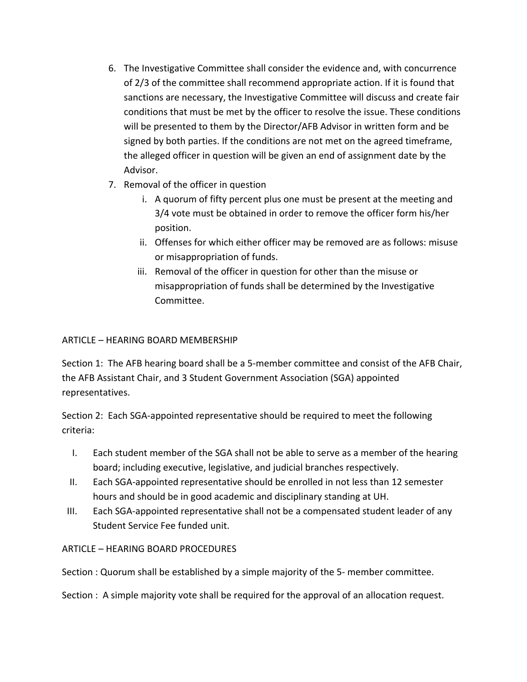- 6. The Investigative Committee shall consider the evidence and, with concurrence of 2/3 of the committee shall recommend appropriate action. If it is found that sanctions are necessary, the Investigative Committee will discuss and create fair conditions that must be met by the officer to resolve the issue. These conditions will be presented to them by the Director/AFB Advisor in written form and be signed by both parties. If the conditions are not met on the agreed timeframe, the alleged officer in question will be given an end of assignment date by the Advisor.
- 7. Removal of the officer in question
	- i. A quorum of fifty percent plus one must be present at the meeting and 3/4 vote must be obtained in order to remove the officer form his/her position.
	- ii. Offenses for which either officer may be removed are as follows: misuse or misappropriation of funds.
	- iii. Removal of the officer in question for other than the misuse or misappropriation of funds shall be determined by the Investigative Committee.

## ARTICLE – HEARING BOARD MEMBERSHIP

Section 1: The AFB hearing board shall be a 5-member committee and consist of the AFB Chair, the AFB Assistant Chair, and 3 Student Government Association (SGA) appointed representatives.

Section 2: Each SGA‐appointed representative should be required to meet the following criteria:

- I. Each student member of the SGA shall not be able to serve as a member of the hearing board; including executive, legislative, and judicial branches respectively.
- II. Each SGA‐appointed representative should be enrolled in not less than 12 semester hours and should be in good academic and disciplinary standing at UH.
- III. Each SGA‐appointed representative shall not be a compensated student leader of any Student Service Fee funded unit.

# ARTICLE – HEARING BOARD PROCEDURES

Section : Quorum shall be established by a simple majority of the 5- member committee.

Section : A simple majority vote shall be required for the approval of an allocation request.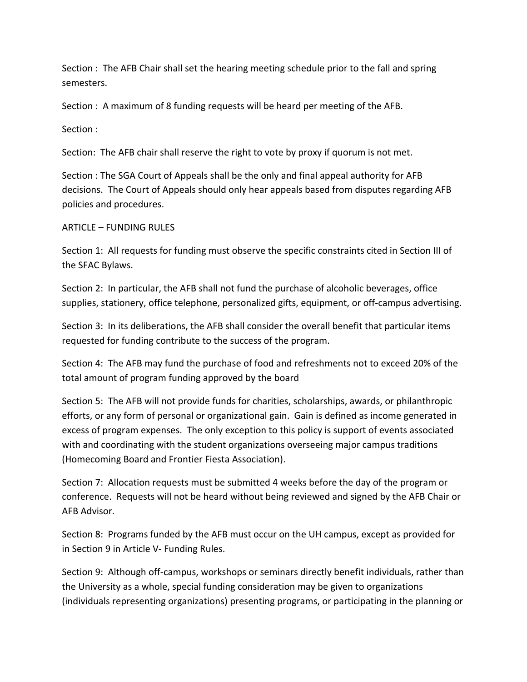Section : The AFB Chair shall set the hearing meeting schedule prior to the fall and spring semesters.

Section : A maximum of 8 funding requests will be heard per meeting of the AFB.

Section :

Section: The AFB chair shall reserve the right to vote by proxy if quorum is not met.

Section : The SGA Court of Appeals shall be the only and final appeal authority for AFB decisions. The Court of Appeals should only hear appeals based from disputes regarding AFB policies and procedures.

## ARTICLE – FUNDING RULES

Section 1: All requests for funding must observe the specific constraints cited in Section III of the SFAC Bylaws.

Section 2: In particular, the AFB shall not fund the purchase of alcoholic beverages, office supplies, stationery, office telephone, personalized gifts, equipment, or off-campus advertising.

Section 3: In its deliberations, the AFB shall consider the overall benefit that particular items requested for funding contribute to the success of the program.

Section 4: The AFB may fund the purchase of food and refreshments not to exceed 20% of the total amount of program funding approved by the board

Section 5: The AFB will not provide funds for charities, scholarships, awards, or philanthropic efforts, or any form of personal or organizational gain. Gain is defined as income generated in excess of program expenses. The only exception to this policy is support of events associated with and coordinating with the student organizations overseeing major campus traditions (Homecoming Board and Frontier Fiesta Association).

Section 7: Allocation requests must be submitted 4 weeks before the day of the program or conference. Requests will not be heard without being reviewed and signed by the AFB Chair or AFB Advisor.

Section 8: Programs funded by the AFB must occur on the UH campus, except as provided for in Section 9 in Article V‐ Funding Rules.

Section 9: Although off-campus, workshops or seminars directly benefit individuals, rather than the University as a whole, special funding consideration may be given to organizations (individuals representing organizations) presenting programs, or participating in the planning or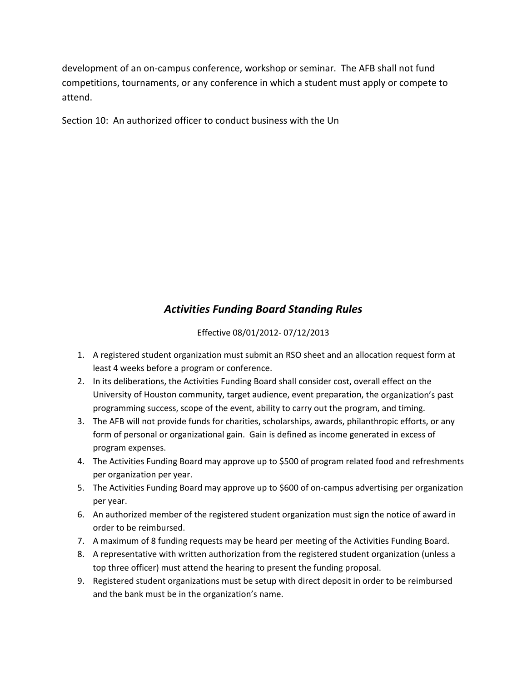development of an on‐campus conference, workshop or seminar. The AFB shall not fund competitions, tournaments, or any conference in which a student must apply or compete to attend.

Section 10: An authorized officer to conduct business with the Un

# *Activities Funding Board Standing Rules*

Effective 08/01/2012‐ 07/12/2013

- 1. A registered student organization must submit an RSO sheet and an allocation request form at least 4 weeks before a program or conference.
- 2. In its deliberations, the Activities Funding Board shall consider cost, overall effect on the University of Houston community, target audience, event preparation, the organization's past programming success, scope of the event, ability to carry out the program, and timing.
- 3. The AFB will not provide funds for charities, scholarships, awards, philanthropic efforts, or any form of personal or organizational gain. Gain is defined as income generated in excess of program expenses.
- 4. The Activities Funding Board may approve up to \$500 of program related food and refreshments per organization per year.
- 5. The Activities Funding Board may approve up to \$600 of on-campus advertising per organization per year.
- 6. An authorized member of the registered student organization must sign the notice of award in order to be reimbursed.
- 7. A maximum of 8 funding requests may be heard per meeting of the Activities Funding Board.
- 8. A representative with written authorization from the registered student organization (unless a top three officer) must attend the hearing to present the funding proposal.
- 9. Registered student organizations must be setup with direct deposit in order to be reimbursed and the bank must be in the organization's name.